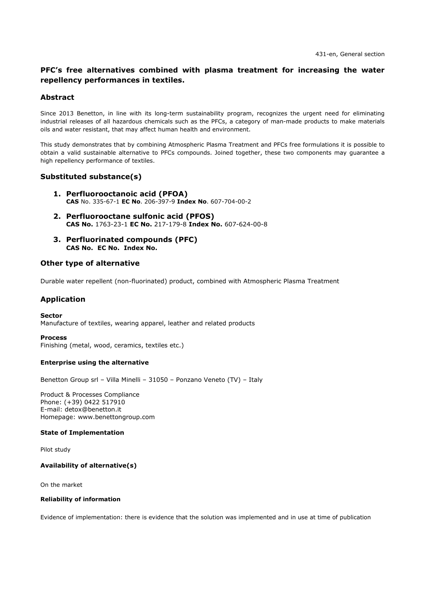# **PFC's free alternatives combined with plasma treatment for increasing the water repellency performances in textiles.**

## **Abstract**

Since 2013 Benetton, in line with its long-term sustainability program, recognizes the urgent need for eliminating industrial releases of all hazardous chemicals such as the PFCs, a category of man-made products to make materials oils and water resistant, that may affect human health and environment.

This study demonstrates that by combining Atmospheric Plasma Treatment and PFCs free formulations it is possible to obtain a valid sustainable alternative to PFCs compounds. Joined together, these two components may guarantee a high repellency performance of textiles.

## **Substituted substance(s)**

- **1. Perfluorooctanoic acid (PFOA) CAS** No. 335-67-1 **EC No**. 206-397-9 **Index No**. 607-704-00-2
- **2. Perfluorooctane sulfonic acid (PFOS) CAS No.** 1763-23-1 **EC No.** 217-179-8 **Index No.** 607-624-00-8
- **3. Perfluorinated compounds (PFC) CAS No. EC No. Index No.**

## **Other type of alternative**

Durable water repellent (non-fluorinated) product, combined with Atmospheric Plasma Treatment

## **Application**

**Sector**  Manufacture of textiles, wearing apparel, leather and related products

### **Process**

Finishing (metal, wood, ceramics, textiles etc.)

## **Enterprise using the alternative**

Benetton Group srl – Villa Minelli – 31050 – Ponzano Veneto (TV) – Italy

Product & Processes Compliance Phone: (+39) 0422 517910 E-mail: detox@benetton.it Homepage: www.benettongroup.com

## **State of Implementation**

Pilot study

## **Availability of alternative(s)**

On the market

## **Reliability of information**

Evidence of implementation: there is evidence that the solution was implemented and in use at time of publication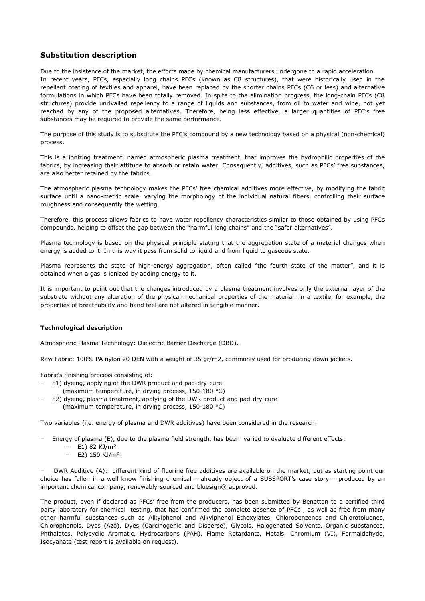# **Substitution description**

Due to the insistence of the market, the efforts made by chemical manufacturers undergone to a rapid acceleration. In recent years, PFCs, especially long chains PFCs (known as C8 structures), that were historically used in the repellent coating of textiles and apparel, have been replaced by the shorter chains PFCs (C6 or less) and alternative formulations in which PFCs have been totally removed. In spite to the elimination progress, the long-chain PFCs (C8 structures) provide unrivalled repellency to a range of liquids and substances, from oil to water and wine, not yet reached by any of the proposed alternatives. Therefore, being less effective, a larger quantities of PFC's free substances may be required to provide the same performance.

The purpose of this study is to substitute the PFC's compound by a new technology based on a physical (non-chemical) process.

This is a ionizing treatment, named atmospheric plasma treatment, that improves the hydrophilic properties of the fabrics, by increasing their attitude to absorb or retain water. Consequently, additives, such as PFCs' free substances, are also better retained by the fabrics.

The atmospheric plasma technology makes the PFCs' free chemical additives more effective, by modifying the fabric surface until a nano-metric scale, varying the morphology of the individual natural fibers, controlling their surface roughness and consequently the wetting.

Therefore, this process allows fabrics to have water repellency characteristics similar to those obtained by using PFCs compounds, helping to offset the gap between the "harmful long chains" and the "safer alternatives".

Plasma technology is based on the physical principle stating that the aggregation state of a material changes when energy is added to it. In this way it pass from solid to liquid and from liquid to gaseous state.

Plasma represents the state of high-energy aggregation, often called "the fourth state of the matter", and it is obtained when a gas is ionized by adding energy to it.

It is important to point out that the changes introduced by a plasma treatment involves only the external layer of the substrate without any alteration of the physical-mechanical properties of the material: in a textile, for example, the properties of breathability and hand feel are not altered in tangible manner.

### **Technological description**

Atmospheric Plasma Technology: Dielectric Barrier Discharge (DBD).

Raw Fabric: 100% PA nylon 20 DEN with a weight of 35 gr/m2, commonly used for producing down jackets.

Fabric's finishing process consisting of:

- F1) dyeing, applying of the DWR product and pad-dry-cure (maximum temperature, in drying process, 150-180 °C)
- F2) dyeing, plasma treatment, applying of the DWR product and pad-dry-cure (maximum temperature, in drying process, 150-180 °C)

Two variables (i.e. energy of plasma and DWR additives) have been considered in the research:

- Energy of plasma (E), due to the plasma field strength, has been varied to evaluate different effects:
	- E1) 82 KJ/m²
		- E2) 150 KJ/m².

– DWR Additive (A): different kind of fluorine free additives are available on the market, but as starting point our choice has fallen in a well know finishing chemical – already object of a SUBSPORT's case story – produced by an important chemical company, renewably-sourced and bluesign® approved.

The product, even if declared as PFCs' free from the producers, has been submitted by Benetton to a certified third party laboratory for chemical testing, that has confirmed the complete absence of PFCs , as well as free from many other harmful substances such as Alkylphenol and Alkylphenol Ethoxylates, Chlorobenzenes and Chlorotoluenes, Chlorophenols, Dyes (Azo), Dyes (Carcinogenic and Disperse), Glycols, Halogenated Solvents, Organic substances, Phthalates, Polycyclic Aromatic, Hydrocarbons (PAH), Flame Retardants, Metals, Chromium (VI), Formaldehyde, Isocyanate (test report is available on request).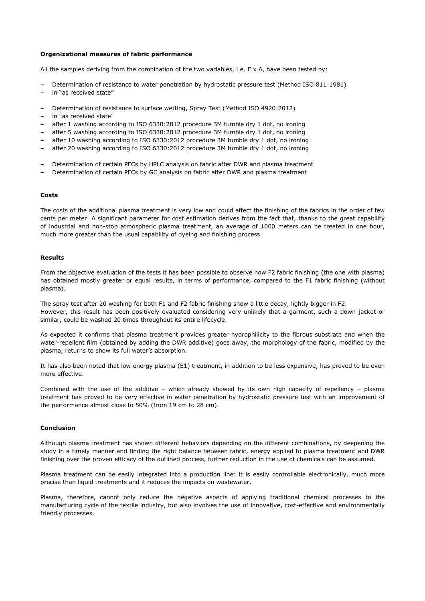### **Organizational measures of fabric performance**

All the samples deriving from the combination of the two variables, i.e. E  $\times$  A, have been tested by:

- Determination of resistance to water penetration by hydrostatic pressure test (Method ISO 811:1981)
- in "as received state"
- Determination of resistance to surface wetting, Spray Test (Method ISO 4920:2012)
- in "as received state"
- after 1 washing according to ISO 6330:2012 procedure 3M tumble dry 1 dot, no ironing
- after 5 washing according to ISO 6330:2012 procedure 3M tumble dry 1 dot, no ironing
- after 10 washing according to ISO 6330:2012 procedure 3M tumble dry 1 dot, no ironing
- after 20 washing according to ISO 6330:2012 procedure 3M tumble dry 1 dot, no ironing
- Determination of certain PFCs by HPLC analysis on fabric after DWR and plasma treatment
- Determination of certain PFCs by GC analysis on fabric after DWR and plasma treatment

### **Costs**

The costs of the additional plasma treatment is very low and could affect the finishing of the fabrics in the order of few cents per meter. A significant parameter for cost estimation derives from the fact that, thanks to the great capability of industrial and non-stop atmospheric plasma treatment, an average of 1000 meters can be treated in one hour, much more greater than the usual capability of dyeing and finishing process.

### **Results**

From the objective evaluation of the tests it has been possible to observe how F2 fabric finishing (the one with plasma) has obtained mostly greater or equal results, in terms of performance, compared to the F1 fabric finishing (without plasma).

The spray test after 20 washing for both F1 and F2 fabric finishing show a little decay, lightly bigger in F2. However, this result has been positively evaluated considering very unlikely that a garment, such a down jacket or similar, could be washed 20 times throughout its entire lifecycle.

As expected it confirms that plasma treatment provides greater hydrophilicity to the fibrous substrate and when the water-repellent film (obtained by adding the DWR additive) goes away, the morphology of the fabric, modified by the plasma, returns to show its full water's absorption.

It has also been noted that low energy plasma (E1) treatment, in addition to be less expensive, has proved to be even more effective.

Combined with the use of the additive – which already showed by its own high capacity of repellency – plasma treatment has proved to be very effective in water penetration by hydrostatic pressure test with an improvement of the performance almost close to 50% (from 19 cm to 28 cm).

#### **Conclusion**

Although plasma treatment has shown different behaviors depending on the different combinations, by deepening the study in a timely manner and finding the right balance between fabric, energy applied to plasma treatment and DWR finishing over the proven efficacy of the outlined process, further reduction in the use of chemicals can be assumed.

Plasma treatment can be easily integrated into a production line: it is easily controllable electronically, much more precise than liquid treatments and it reduces the impacts on wastewater.

Plasma, therefore, cannot only reduce the negative aspects of applying traditional chemical processes to the manufacturing cycle of the textile industry, but also involves the use of innovative, cost-effective and environmentally friendly processes.